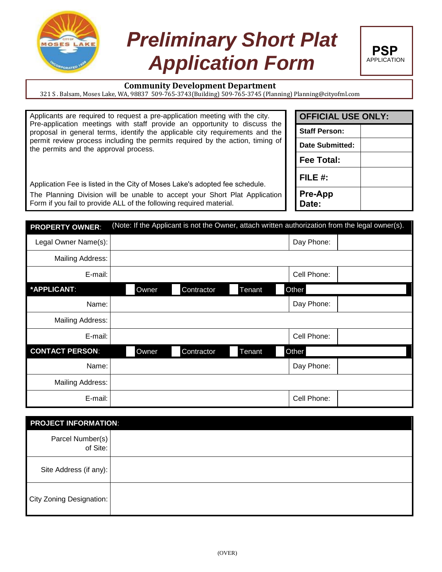

## *Preliminary Short Plat*  **Application Form**



**OFFICIAL USE ONLY:**

**Staff Person:**

**Fee Total:**

**FILE #:**

**Pre-App Date:** 

**Date Submitted:**

## **Community Development Department**

321 S . Balsam, Moses Lake, WA, 98837 509-765-3743(Building) 509-765-3745 (Planning) Planning@cityofml.com

| Applicants are required to request a pre-application meeting with the city.   |  |  |  |  |  |  |
|-------------------------------------------------------------------------------|--|--|--|--|--|--|
| Pre-application meetings with staff provide an opportunity to discuss the     |  |  |  |  |  |  |
| proposal in general terms, identify the applicable city requirements and the  |  |  |  |  |  |  |
| permit review process including the permits required by the action, timing of |  |  |  |  |  |  |
| the permits and the approval process.                                         |  |  |  |  |  |  |
|                                                                               |  |  |  |  |  |  |

Application Fee is listed in the City of Moses Lake's adopted fee schedule. The Planning Division will be unable to accept your Short Plat Application Form if you fail to provide ALL of the following required material.

| <b>PROPERTY OWNER:</b>  | (Note: If the Applicant is not the Owner, attach written authorization from the legal owner(s). |            |        |             |  |  |
|-------------------------|-------------------------------------------------------------------------------------------------|------------|--------|-------------|--|--|
| Legal Owner Name(s):    |                                                                                                 |            |        | Day Phone:  |  |  |
| <b>Mailing Address:</b> |                                                                                                 |            |        |             |  |  |
| E-mail:                 |                                                                                                 |            |        | Cell Phone: |  |  |
| *APPLICANT:             | Owner                                                                                           | Contractor | Tenant | Other       |  |  |
| Name:                   |                                                                                                 |            |        | Day Phone:  |  |  |
| Mailing Address:        |                                                                                                 |            |        |             |  |  |
| E-mail:                 |                                                                                                 |            |        | Cell Phone: |  |  |
| <b>CONTACT PERSON:</b>  | Owner                                                                                           | Contractor | Tenant | Other       |  |  |
| Name:                   |                                                                                                 |            |        | Day Phone:  |  |  |
| Mailing Address:        |                                                                                                 |            |        |             |  |  |
| E-mail:                 |                                                                                                 |            |        | Cell Phone: |  |  |

| <b>PROJECT INFORMATION:</b>  |  |
|------------------------------|--|
| Parcel Number(s)<br>of Site: |  |
| Site Address (if any):       |  |
| City Zoning Designation:     |  |